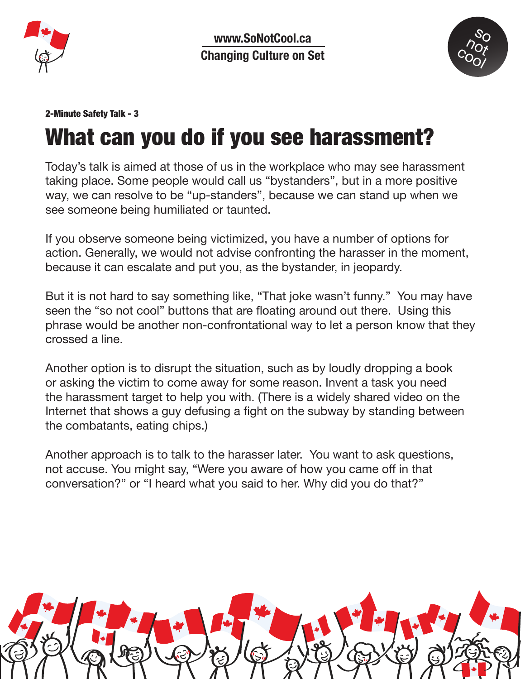

**www.SoNotCool.ca Changing Culture on Set**



## 2-Minute Safety Talk - 3

## What can you do if you see harassment?

Today's talk is aimed at those of us in the workplace who may see harassment taking place. Some people would call us "bystanders", but in a more positive way, we can resolve to be "up-standers", because we can stand up when we see someone being humiliated or taunted.

If you observe someone being victimized, you have a number of options for action. Generally, we would not advise confronting the harasser in the moment, because it can escalate and put you, as the bystander, in jeopardy.

But it is not hard to say something like, "That joke wasn't funny." You may have seen the "so not cool" buttons that are floating around out there. Using this phrase would be another non-confrontational way to let a person know that they crossed a line.

Another option is to disrupt the situation, such as by loudly dropping a book or asking the victim to come away for some reason. Invent a task you need the harassment target to help you with. (There is a widely shared video on the Internet that shows a guy defusing a fight on the subway by standing between the combatants, eating chips.)

Another approach is to talk to the harasser later. You want to ask questions, not accuse. You might say, "Were you aware of how you came off in that conversation?" or "I heard what you said to her. Why did you do that?"